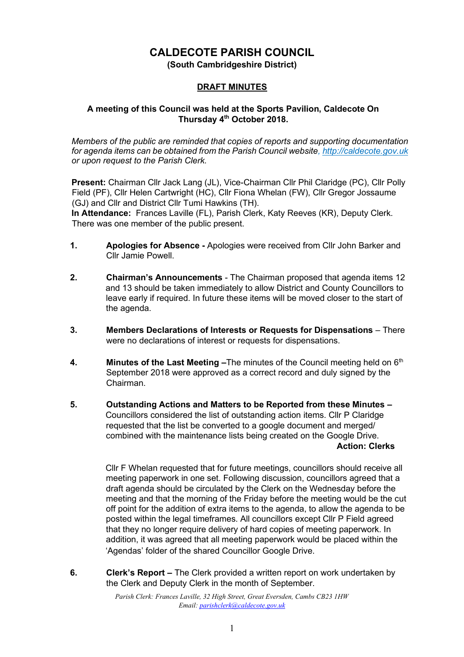# **CALDECOTE PARISH COUNCIL**

**(South Cambridgeshire District)** 

#### **DRAFT MINUTES**

#### **A meeting of this Council was held at the Sports Pavilion, Caldecote On Thursday 4th October 2018.**

*Members of the public are reminded that copies of reports and supporting documentation for agenda items can be obtained from the Parish Council website[, http://caldecote.gov.uk](http://caldecote.gov.uk/) or upon request to the Parish Clerk.* 

**Present:** Chairman Cllr Jack Lang (JL), Vice-Chairman Cllr Phil Claridge (PC), Cllr Polly Field (PF), Cllr Helen Cartwright (HC), Cllr Fiona Whelan (FW), Cllr Gregor Jossaume (GJ) and Cllr and District Cllr Tumi Hawkins (TH).

**In Attendance:** Frances Laville (FL), Parish Clerk, Katy Reeves (KR), Deputy Clerk. There was one member of the public present.

- **1. Apologies for Absence -** Apologies were received from Cllr John Barker and Cllr Jamie Powell.
- **2. Chairman's Announcements** The Chairman proposed that agenda items 12 and 13 should be taken immediately to allow District and County Councillors to leave early if required. In future these items will be moved closer to the start of the agenda.
- **3. Members Declarations of Interests or Requests for Dispensations** There were no declarations of interest or requests for dispensations.
- **4. Minutes of the Last Meeting -**The minutes of the Council meeting held on 6<sup>th</sup> September 2018 were approved as a correct record and duly signed by the Chairman.
- **5. Outstanding Actions and Matters to be Reported from these Minutes –** Councillors considered the list of outstanding action items. Cllr P Claridge requested that the list be converted to a google document and merged/ combined with the maintenance lists being created on the Google Drive. **Action: Clerks**

Cllr F Whelan requested that for future meetings, councillors should receive all meeting paperwork in one set. Following discussion, councillors agreed that a draft agenda should be circulated by the Clerk on the Wednesday before the meeting and that the morning of the Friday before the meeting would be the cut off point for the addition of extra items to the agenda, to allow the agenda to be posted within the legal timeframes. All councillors except Cllr P Field agreed that they no longer require delivery of hard copies of meeting paperwork. In addition, it was agreed that all meeting paperwork would be placed within the 'Agendas' folder of the shared Councillor Google Drive.

**6. Clerk's Report –** The Clerk provided a written report on work undertaken by the Clerk and Deputy Clerk in the month of September.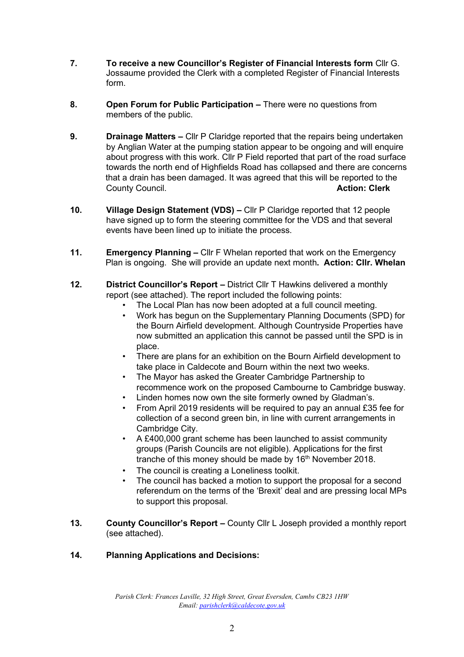- **7. To receive a new Councillor's Register of Financial Interests form** Cllr G. Jossaume provided the Clerk with a completed Register of Financial Interests form.
- **8. Open Forum for Public Participation –** There were no questions from members of the public.
- **9. Drainage Matters –** Cllr P Claridge reported that the repairs being undertaken by Anglian Water at the pumping station appear to be ongoing and will enquire about progress with this work. Cllr P Field reported that part of the road surface towards the north end of Highfields Road has collapsed and there are concerns that a drain has been damaged. It was agreed that this will be reported to the County Council. **Action: Clerk**
- **10. Village Design Statement (VDS) –** Cllr P Claridge reported that 12 people have signed up to form the steering committee for the VDS and that several events have been lined up to initiate the process.
- **11. Emergency Planning –** Cllr F Whelan reported that work on the Emergency Plan is ongoing. She will provide an update next month**. Action: Cllr. Whelan**
- **12. District Councillor's Report –** District Cllr T Hawkins delivered a monthly report (see attached). The report included the following points:
	- The Local Plan has now been adopted at a full council meeting.
	- Work has begun on the Supplementary Planning Documents (SPD) for the Bourn Airfield development. Although Countryside Properties have now submitted an application this cannot be passed until the SPD is in place.
	- There are plans for an exhibition on the Bourn Airfield development to take place in Caldecote and Bourn within the next two weeks.
	- The Mayor has asked the Greater Cambridge Partnership to recommence work on the proposed Cambourne to Cambridge busway.
	- Linden homes now own the site formerly owned by Gladman's.
	- From April 2019 residents will be required to pay an annual £35 fee for collection of a second green bin, in line with current arrangements in Cambridge City.
	- A £400,000 grant scheme has been launched to assist community groups (Parish Councils are not eligible). Applications for the first tranche of this money should be made by 16<sup>th</sup> November 2018.
	- The council is creating a Loneliness toolkit.
	- The council has backed a motion to support the proposal for a second referendum on the terms of the 'Brexit' deal and are pressing local MPs to support this proposal.
- **13. County Councillor's Report County Cllr L Joseph provided a monthly report** (see attached).

## **14. Planning Applications and Decisions:**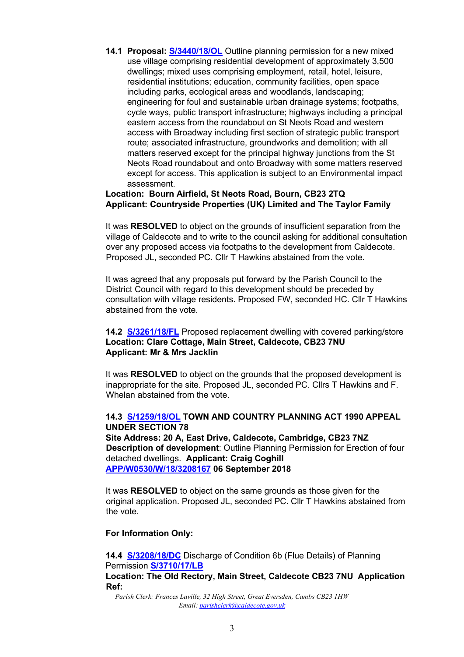**14.1 Proposal: [S/3440/18/OL](http://plan.scambs.gov.uk/swiftlg/apas/run/WPHAPPDETAIL.DisplayUrl?theApnID=S/3440/18/OL)** Outline planning permission for a new mixed use village comprising residential development of approximately 3,500 dwellings; mixed uses comprising employment, retail, hotel, leisure, residential institutions; education, community facilities, open space including parks, ecological areas and woodlands, landscaping; engineering for foul and sustainable urban drainage systems; footpaths, cycle ways, public transport infrastructure; highways including a principal eastern access from the roundabout on St Neots Road and western access with Broadway including first section of strategic public transport route; associated infrastructure, groundworks and demolition; with all matters reserved except for the principal highway junctions from the St Neots Road roundabout and onto Broadway with some matters reserved except for access. This application is subject to an Environmental impact assessment.

#### **Location: Bourn Airfield, St Neots Road, Bourn, CB23 2TQ Applicant: Countryside Properties (UK) Limited and The Taylor Family**

It was **RESOLVED** to object on the grounds of insufficient separation from the village of Caldecote and to write to the council asking for additional consultation over any proposed access via footpaths to the development from Caldecote. Proposed JL, seconded PC. Cllr T Hawkins abstained from the vote.

It was agreed that any proposals put forward by the Parish Council to the District Council with regard to this development should be preceded by consultation with village residents. Proposed FW, seconded HC. Cllr T Hawkins abstained from the vote.

#### **14.2 [S/3261/18/FL](http://plan.scambs.gov.uk/swiftlg/apas/run/WPHAPPDETAIL.DisplayUrl?theApnID=S/3261/18/FL&backURL=%253Ca%2520href%253Dwphappcriteria.display%253FpaSearchKey%253D1744493%253ESearch%2520Criteria%253C%252Fa%253E%20%3E%20%3Ca%20href%3D%27wphappsearchres.displayResultsURL%3FResultID%3D2313199%2526StartIndex%3D1%2526SortOrder%3Drgndat%3Adesc%2526DispResultsAs%3DWPHAPPSEARCHRES%2526BackURL%3D%253Ca%2520href%253Dwphappcriteria.display%253FpaSearchKey%253D1744493%253ESearch%2520Criteria%253C%252Fa%253E%27%3ESearch%20Results%3C%2Fa%3E)** Proposed replacement dwelling with covered parking/store **Location: Clare Cottage, Main Street, Caldecote, CB23 7NU Applicant: Mr & Mrs Jacklin**

It was **RESOLVED** to object on the grounds that the proposed development is inappropriate for the site. Proposed JL, seconded PC. Cllrs T Hawkins and F. Whelan abstained from the vote.

#### **14.3 [S/1259/18/OL](http://plan.scambs.gov.uk/swiftlg/apas/run/WPHAPPDETAIL.DisplayUrl?theApnID=S/1259/18/OL&backURL=%253Ca%2520href%253Dwphappcriteria.display%253FpaSearchKey%253D1744502%253ESearch%2520Criteria%253C%252Fa%253E%20%3E%20%3Ca%20href%3D%27wphappsearchres.displayResultsURL%3FResultID%3D2313210%2526StartIndex%3D1%2526SortOrder%3Drgndat%3Adesc%2526DispResultsAs%3DWPHAPPSEARCHRES%2526BackURL%3D%253Ca%2520href%253Dwphappcriteria.display%253FpaSearchKey%253D1744502%253ESearch%2520Criteria%253C%252Fa%253E%27%3ESearch%20Results%3C%2Fa%3E) TOWN AND COUNTRY PLANNING ACT 1990 APPEAL UNDER SECTION 78**

**Site Address: 20 A, East Drive, Caldecote, Cambridge, CB23 7NZ Description of development**: Outline Planning Permission for Erection of four detached dwellings. **Applicant: Craig Coghill [APP/W0530/W/18/3208167](https://acp.planninginspectorate.gov.uk/ViewCase.aspx?caseid=3208167) 06 September 2018** 

It was **RESOLVED** to object on the same grounds as those given for the original application. Proposed JL, seconded PC. Cllr T Hawkins abstained from the vote.

#### **For Information Only:**

**14.4 [S/3208/18/DC](http://plan.scambs.gov.uk/swiftlg/apas/run/WPHAPPDETAIL.DisplayUrl?theApnID=S/3208/18/DC&backURL=%253Ca%2520href%253Dwphappcriteria.display%253FpaSearchKey%253D1744516%253ESearch%2520Criteria%253C%252Fa%253E%20%3E%20%3Ca%20href%3D%27wphappsearchres.displayResultsURL%3FResultID%3D2313225%2526StartIndex%3D1%2526SortOrder%3Drgndat%3Adesc%2526DispResultsAs%3DWPHAPPSEARCHRES%2526BackURL%3D%253Ca%2520href%253Dwphappcriteria.display%253FpaSearchKey%253D1744516%253ESearch%2520Criteria%253C%252Fa%253E%27%3ESearch%20Results%3C%2Fa%3E)** [D](http://plan.scambs.gov.uk/swiftlg/apas/run/WPHAPPDETAIL.DisplayUrl?theApnID=S/3208/18/DC&backURL=%253Ca%2520href%253Dwphappcriteria.display%253FpaSearchKey%253D1744516%253ESearch%2520Criteria%253C%252Fa%253E%20%3E%20%3Ca%20href%3D%27wphappsearchres.displayResultsURL%3FResultID%3D2313225%2526StartIndex%3D1%2526SortOrder%3Drgndat%3Adesc%2526DispResultsAs%3DWPHAPPSEARCHRES%2526BackURL%3D%253Ca%2520href%253Dwphappcriteria.display%253FpaSearchKey%253D1744516%253ESearch%2520Criteria%253C%252Fa%253E%27%3ESearch%20Results%3C%2Fa%3E)ischarge of Condition 6b (Flue Details) of Planning Permissio[n](http://plan.scambs.gov.uk/swiftlg/apas/run/WPHAPPDETAIL.DisplayUrl?theApnID=S/3710/17/LB&backURL=%253Ca%2520href%253Dwphappcriteria.display%253FpaSearchKey%253D1744507%253ESearch%2520Criteria%253C%252Fa%253E%20%3E%20%3Ca%20href%3D%27wphappsearchres.displayResultsURL%3FResultID%3D2313216%2526StartIndex%3D1%2526SortOrder%3Drgndat%3Adesc%2526DispResultsAs%3DWPHAPPSEARCHRES%2526BackURL%3D%253Ca%2520href%253Dwphappcriteria.display%253FpaSearchKey%253D1744507%253ESearch%2520Criteria%253C%252Fa%253E%27%3ESearch%20Results%3C%2Fa%3E) **[S/3710/17/LB](http://plan.scambs.gov.uk/swiftlg/apas/run/WPHAPPDETAIL.DisplayUrl?theApnID=S/3710/17/LB&backURL=%253Ca%2520href%253Dwphappcriteria.display%253FpaSearchKey%253D1744507%253ESearch%2520Criteria%253C%252Fa%253E%20%3E%20%3Ca%20href%3D%27wphappsearchres.displayResultsURL%3FResultID%3D2313216%2526StartIndex%3D1%2526SortOrder%3Drgndat%3Adesc%2526DispResultsAs%3DWPHAPPSEARCHRES%2526BackURL%3D%253Ca%2520href%253Dwphappcriteria.display%253FpaSearchKey%253D1744507%253ESearch%2520Criteria%253C%252Fa%253E%27%3ESearch%20Results%3C%2Fa%3E) Location: The Old Rectory, Main Street, Caldecote CB23 7NU Application Ref:**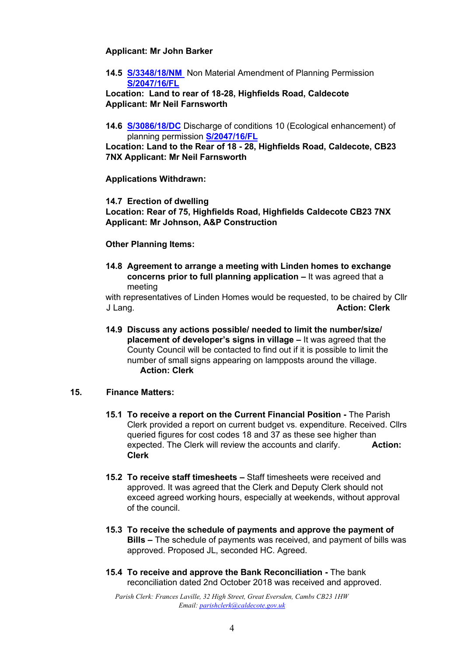#### **Applicant: Mr John Barker**

**14.5 [S/3348/18/NM](http://plan.scambs.gov.uk/swiftlg/apas/run/WPHAPPDETAIL.DisplayUrl?theApnID=S/3348/18/NM&backURL=%253Ca%2520href%253Dwphappcriteria.display%253FpaSearchKey%253D1744512%253ESearch%2520Criteria%253C%252Fa%253E%20%3E%20%3Ca%20href%3D%27wphappsearchres.displayResultsURL%3FResultID%3D2313221%2526StartIndex%3D1%2526SortOrder%3Drgndat%3Adesc%2526DispResultsAs%3DWPHAPPSEARCHRES%2526BackURL%3D%253Ca%2520href%253Dwphappcriteria.display%253FpaSearchKey%253D1744512%253ESearch%2520Criteria%253C%252Fa%253E%27%3ESearch%20Results%3C%2Fa%3E)** Non Material Amendment of Planning Permission **[S/2047/16/FL](http://plan.scambs.gov.uk/swiftlg/apas/run/WPHAPPDETAIL.DisplayUrl?theApnID=S/2047/16/FL&backURL=%253Ca%2520href%253Dwphappcriteria.display%253FpaSearchKey%253D1744517%253ESearch%2520Criteria%253C%252Fa%253E%20%3E%20%3Ca%20href%3D%27wphappsearchres.displayResultsURL%3FResultID%3D2313226%2526StartIndex%3D1%2526SortOrder%3Drgndat%3Adesc%2526DispResultsAs%3DWPHAPPSEARCHRES%2526BackURL%3D%253Ca%2520href%253Dwphappcriteria.display%253FpaSearchKey%253D1744517%253ESearch%2520Criteria%253C%252Fa%253E%27%3ESearch%20Results%3C%2Fa%3E)**

**Location: Land to rear of 18-28, Highfields Road, Caldecote Applicant: Mr Neil Farnsworth** 

**14.6 [S/3086/18/DC](http://plan.scambs.gov.uk/swiftlg/apas/run/WPHAPPDETAIL.DisplayUrl?theApnID=S/3086/18/DC&backURL=%253Ca%2520href%253Dwphappcriteria.display%253FpaSearchKey%253D1744520%253ESearch%2520Criteria%253C%252Fa%253E%20%3E%20%3Ca%20href%3D%27wphappsearchres.displayResultsURL%3FResultID%3D2313229%2526StartIndex%3D1%2526SortOrder%3Drgndat%3Adesc%2526DispResultsAs%3DWPHAPPSEARCHRES%2526BackURL%3D%253Ca%2520href%253Dwphappcriteria.display%253FpaSearchKey%253D1744520%253ESearch%2520Criteria%253C%252Fa%253E%27%3ESearch%20Results%3C%2Fa%3E)** [D](http://plan.scambs.gov.uk/swiftlg/apas/run/WPHAPPDETAIL.DisplayUrl?theApnID=S/3086/18/DC&backURL=%253Ca%2520href%253Dwphappcriteria.display%253FpaSearchKey%253D1744520%253ESearch%2520Criteria%253C%252Fa%253E%20%3E%20%3Ca%20href%3D%27wphappsearchres.displayResultsURL%3FResultID%3D2313229%2526StartIndex%3D1%2526SortOrder%3Drgndat%3Adesc%2526DispResultsAs%3DWPHAPPSEARCHRES%2526BackURL%3D%253Ca%2520href%253Dwphappcriteria.display%253FpaSearchKey%253D1744520%253ESearch%2520Criteria%253C%252Fa%253E%27%3ESearch%20Results%3C%2Fa%3E)ischarge of conditions 10 (Ecological enhancement) of planning permission **[S/2047/16/FL](http://plan.scambs.gov.uk/swiftlg/apas/run/WPHAPPDETAIL.DisplayUrl?theApnID=S/2047/16/FL&backURL=%253Ca%2520href%253Dwphappcriteria.display%253FpaSearchKey%253D1744517%253ESearch%2520Criteria%253C%252Fa%253E%20%3E%20%3Ca%20href%3D%27wphappsearchres.displayResultsURL%3FResultID%3D2313226%2526StartIndex%3D1%2526SortOrder%3Drgndat%3Adesc%2526DispResultsAs%3DWPHAPPSEARCHRES%2526BackURL%3D%253Ca%2520href%253Dwphappcriteria.display%253FpaSearchKey%253D1744517%253ESearch%2520Criteria%253C%252Fa%253E%27%3ESearch%20Results%3C%2Fa%3E)**

**Location: Land to the Rear of 18 - 28, Highfields Road, Caldecote, CB23 7NX Applicant: Mr Neil Farnsworth** 

**Applications Withdrawn:** 

**14.7 Erection of dwelling** 

**Location: Rear of 75, Highfields Road, Highfields Caldecote CB23 7NX Applicant: Mr Johnson, A&P Construction** 

#### **Other Planning Items:**

**14.8 Agreement to arrange a meeting with Linden homes to exchange concerns prior to full planning application – It was agreed that a** meeting

with representatives of Linden Homes would be requested, to be chaired by Cllr J Lang. **Action: Clerk** 

**14.9 Discuss any actions possible/ needed to limit the number/size/ placement of developer's signs in village –** It was agreed that the County Council will be contacted to find out if it is possible to limit the number of small signs appearing on lampposts around the village. **Action: Clerk** 

#### **15. Finance Matters:**

- **15.1 To receive a report on the Current Financial Position -** The Parish Clerk provided a report on current budget vs. expenditure. Received. Cllrs queried figures for cost codes 18 and 37 as these see higher than expected. The Clerk will review the accounts and clarify. **Action: Clerk**
- **15.2 To receive staff timesheets –** Staff timesheets were received and approved. It was agreed that the Clerk and Deputy Clerk should not exceed agreed working hours, especially at weekends, without approval of the council.
- **15.3 To receive the schedule of payments and approve the payment of Bills –** The schedule of payments was received, and payment of bills was approved. Proposed JL, seconded HC. Agreed.
- **15.4 To receive and approve the Bank Reconciliation -** The bank reconciliation dated 2nd October 2018 was received and approved.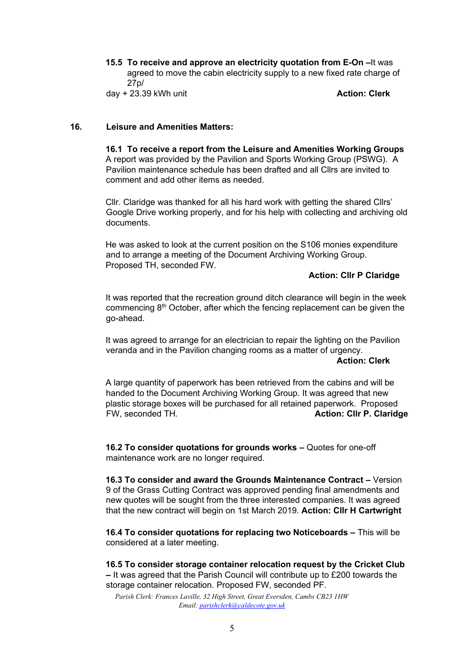**15.5 To receive and approve an electricity quotation from E-On –**It was agreed to move the cabin electricity supply to a new fixed rate charge of 27p/ day + 23.39 kWh unit **Action: Clerk**

#### **16. Leisure and Amenities Matters:**

**16.1 To receive a report from the Leisure and Amenities Working Groups**  A report was provided by the Pavilion and Sports Working Group (PSWG). A Pavilion maintenance schedule has been drafted and all Cllrs are invited to comment and add other items as needed.

Cllr. Claridge was thanked for all his hard work with getting the shared Cllrs' Google Drive working properly, and for his help with collecting and archiving old documents.

He was asked to look at the current position on the S106 monies expenditure and to arrange a meeting of the Document Archiving Working Group. Proposed TH, seconded FW.

#### **Action: Cllr P Claridge**

It was reported that the recreation ground ditch clearance will begin in the week commencing 8th October, after which the fencing replacement can be given the go-ahead.

It was agreed to arrange for an electrician to repair the lighting on the Pavilion veranda and in the Pavilion changing rooms as a matter of urgency.

#### **Action: Clerk**

A large quantity of paperwork has been retrieved from the cabins and will be handed to the Document Archiving Working Group. It was agreed that new plastic storage boxes will be purchased for all retained paperwork. Proposed FW, seconded TH. **Action: Cllr P. Claridge** 

**16.2 To consider quotations for grounds works –** Quotes for one-off maintenance work are no longer required.

**16.3 To consider and award the Grounds Maintenance Contract –** Version 9 of the Grass Cutting Contract was approved pending final amendments and new quotes will be sought from the three interested companies. It was agreed that the new contract will begin on 1st March 2019. **Action: Cllr H Cartwright** 

**16.4 To consider quotations for replacing two Noticeboards –** This will be considered at a later meeting.

**16.5 To consider storage container relocation request by the Cricket Club –** It was agreed that the Parish Council will contribute up to £200 towards the storage container relocation. Proposed FW, seconded PF.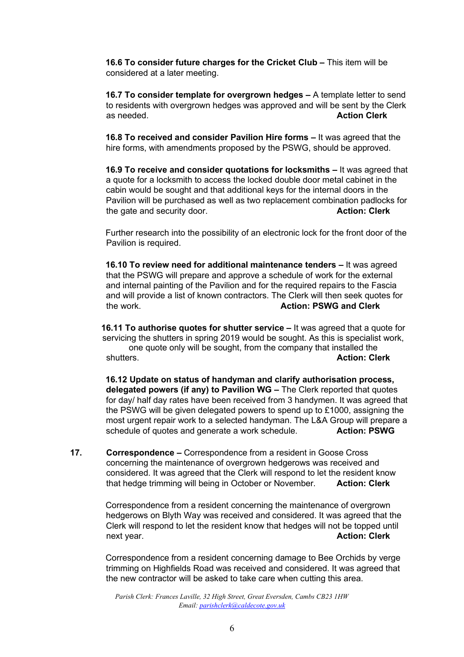**16.6 To consider future charges for the Cricket Club - This item will be** considered at a later meeting.

**16.7 To consider template for overgrown hedges**  $-$  **A template letter to send** to residents with overgrown hedges was approved and will be sent by the Clerk as needed. **Action Clerk Action Clerk Action Clerk** 

**16.8 To received and consider Pavilion Hire forms –** It was agreed that the hire forms, with amendments proposed by the PSWG, should be approved.

**16.9 To receive and consider quotations for locksmiths –** It was agreed that a quote for a locksmith to access the locked double door metal cabinet in the cabin would be sought and that additional keys for the internal doors in the Pavilion will be purchased as well as two replacement combination padlocks for the gate and security door. **Action: Clerk Action: Clerk** 

Further research into the possibility of an electronic lock for the front door of the Pavilion is required.

**16.10 To review need for additional maintenance tenders –** It was agreed that the PSWG will prepare and approve a schedule of work for the external and internal painting of the Pavilion and for the required repairs to the Fascia and will provide a list of known contractors. The Clerk will then seek quotes for the work. **Action: PSWG and Clerk** 

**16.11 To authorise quotes for shutter service –** It was agreed that a quote for servicing the shutters in spring 2019 would be sought. As this is specialist work, one quote only will be sought, from the company that installed the shutters. **Action: Clerk** 

**16.12 Update on status of handyman and clarify authorisation process, delegated powers (if any) to Pavilion WG –** The Clerk reported that quotes for day/ half day rates have been received from 3 handymen. It was agreed that the PSWG will be given delegated powers to spend up to £1000, assigning the most urgent repair work to a selected handyman. The L&A Group will prepare a schedule of quotes and generate a work schedule. **Action: PSWG** 

**17. Correspondence –** Correspondence from a resident in Goose Cross concerning the maintenance of overgrown hedgerows was received and considered. It was agreed that the Clerk will respond to let the resident know that hedge trimming will being in October or November. **Action: Clerk**

> Correspondence from a resident concerning the maintenance of overgrown hedgerows on Blyth Way was received and considered. It was agreed that the Clerk will respond to let the resident know that hedges will not be topped until next year. **Action: Clerk Action: Clerk Action: Clerk**

> Correspondence from a resident concerning damage to Bee Orchids by verge trimming on Highfields Road was received and considered. It was agreed that the new contractor will be asked to take care when cutting this area.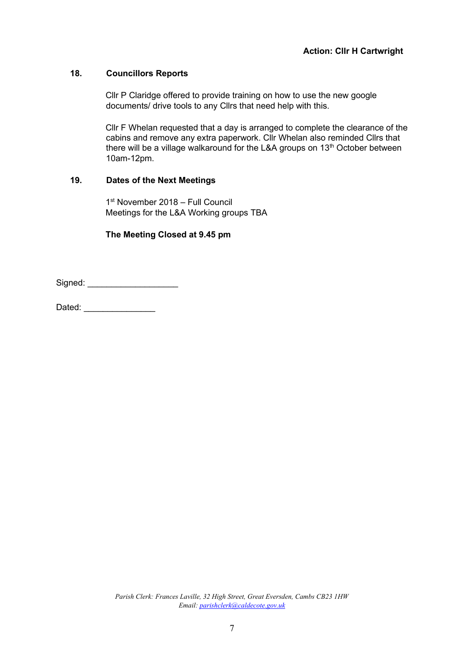## **18. Councillors Reports**

Cllr P Claridge offered to provide training on how to use the new google documents/ drive tools to any Cllrs that need help with this.

Cllr F Whelan requested that a day is arranged to complete the clearance of the cabins and remove any extra paperwork. Cllr Whelan also reminded Cllrs that there will be a village walkaround for the L&A groups on 13<sup>th</sup> October between 10am-12pm.

#### **19. Dates of the Next Meetings**

1 st November 2018 – Full Council Meetings for the L&A Working groups TBA

#### **The Meeting Closed at 9.45 pm**

Signed: \_\_\_\_\_\_\_\_\_\_\_\_\_\_\_\_\_\_\_

Dated:  $\Box$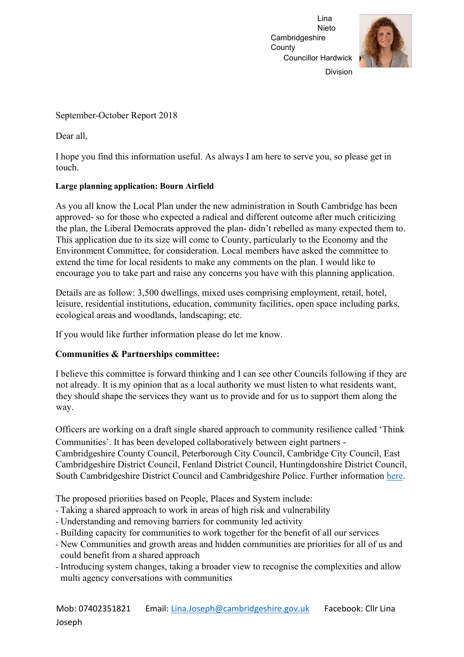

Division

September-October Report 2018

Dear all,

I hope you find this information useful. As always I am here to serve you, so please get in touch.

## **Large planning application: Bourn Airfield**

As you all know the Local Plan under the new administration in South Cambridge has been approved- so for those who expected a radical and different outcome after much criticizing the plan, the Liberal Democrats approved the plan- didn't rebelled as many expected them to. This application due to its size will come to County, particularly to the Economy and the Environment Committee, for consideration. Local members have asked the committee to extend the time for local residents to make any comments on the plan. I would like to encourage you to take part and raise any concerns you have with this planning application.

Details are as follow: 3,500 dwellings, mixed uses comprising employment, retail, hotel, leisure, residential institutions, education, community facilities, open space including parks, ecological areas and woodlands, landscaping; etc.

If you would like further information please do let me know.

# **Communities & Partnerships committee:**

I believe this committee is forward thinking and I can see other Councils following if they are not already. It is my opinion that as a local authority we must listen to what residents want, they should shape the services they want us to provide and for us to support them along the way.

Officers are working on a draft single shared approach to community resilience called 'Think Communities'. It has been developed collaboratively between eight partners - Cambridgeshire County Council, Peterborough City Council, Cambridge City Council, East Cambridgeshire District Council, Fenland District Council, Huntingdonshire District Council, South Cambridgeshire District Council and Cambridgeshire Police. Further information [here.](https://cmis.cambridgeshire.gov.uk/CCC_live/Document.ashx?czJKcaeAi5tUFL1DTL2UE4zNRBcoShgo=bMjWdMCY1i1TqLBFwRWIeo%2bPBwtFxcJELrzG6EF3DXFfP58YVMhL4g%3d%3d&rUzwRPf%2bZ3zd4E7Ikn8Lyw%3d%3d=pwRE6AGJFLDNlh225F5QMaQWCtPHwdhUfCZ%2fLUQzgA2uL5jNRG4jdQ%3d%3d&mCTIbCubSFfXsDGW9IXnlg%3d%3d=hFflUdN3100%3d&kCx1AnS9%2fpWZQ40DXFvdEw%3d%3d=hFflUdN3100%3d&uJovDxwdjMPoYv%2bAJvYtyA%3d%3d=ctNJFf55vVA%3d&FgPlIEJYlotS%2bYGoBi5olA%3d%3d=NHdURQburHA%3d&d9Qjj0ag1Pd993jsyOJqFvmyB7X0CSQK=ctNJFf55vVA%3d&WGewmoAfeNR9xqBux0r1Q8Za60lavYmz=ctNJFf55vVA%3d&WGewmoAfeNQ16B2MHuCpMRKZMwaG1PaO=ctNJFf55vVA%3d)

The proposed priorities based on People, Places and System include:

- Taking a shared approach to work in areas of high risk and vulnerability
- Understanding and removing barriers for community led activity
- Building capacity for communities to work together for the benefit of all our services
- New Communities and growth areas and hidden communities are priorities for all of us and could benefit from a shared approach
- Introducing system changes, taking a broader view to recognise the complexities and allow multi agency conversations with communities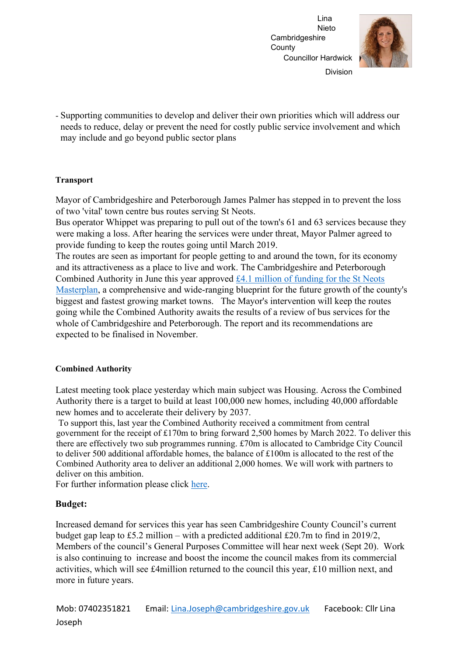

Division

- Supporting communities to develop and deliver their own priorities which will address our needs to reduce, delay or prevent the need for costly public service involvement and which may include and go beyond public sector plans

#### **Transport**

Mayor of Cambridgeshire and Peterborough James Palmer has stepped in to prevent the loss of two 'vital' town centre bus routes serving St Neots.

Bus operator Whippet was preparing to pull out of the town's 61 and 63 services because they were making a loss. After hearing the services were under threat, Mayor Palmer agreed to provide funding to keep the routes going until March 2019.

The routes are seen as important for people getting to and around the town, for its economy and its attractiveness as a place to live and work. The Cambridgeshire and Peterborough Combined Authority in June this year approved [£4.1 million of funding for the St Neots](http://cambridgeshirepeterborough-ca.gov.uk/news/masterplan-for-st-neots-moves-forward/) [Masterplan,](http://cambridgeshirepeterborough-ca.gov.uk/news/masterplan-for-st-neots-moves-forward/) a comprehensive and wide-ranging blueprint for the future growth of the county's biggest and fastest growing market towns. The Mayor's intervention will keep the routes going while the Combined Authority awaits the results of a review of bus services for the whole of Cambridgeshire and Peterborough. The report and its recommendations are expected to be finalised in November.

## **Combined Authority**

Latest meeting took place yesterday which main subject was Housing. Across the Combined Authority there is a target to build at least 100,000 new homes, including 40,000 affordable new homes and to accelerate their delivery by 2037.

To support this, last year the Combined Authority received a commitment from central government for the receipt of £170m to bring forward 2,500 homes by March 2022. To deliver this there are effectively two sub programmes running. £70m is allocated to Cambridge City Council to deliver 500 additional affordable homes, the balance of £100m is allocated to the rest of the Combined Authority area to deliver an additional 2,000 homes. We will work with partners to deliver on this ambition.

For further information please click [here.](https://cmis.cambridgeshire.gov.uk/CCC_live/Document.ashx?czJKcaeAi5tUFL1DTL2UE4zNRBcoShgo=qjnl1J6524SHH89OxZMVU9bDch3nGek%2fseRX6GlccosueZRRMWAzAg%3d%3d&rUzwRPf%2bZ3zd4E7Ikn8Lyw%3d%3d=pwRE6AGJFLDNlh225F5QMaQWCtPHwdhUfCZ%2fLUQzgA2uL5jNRG4jdQ%3d%3d&mCTIbCubSFfXsDGW9IXnlg%3d%3d=hFflUdN3100%3d&kCx1AnS9%2fpWZQ40DXFvdEw%3d%3d=hFflUdN3100%3d&uJovDxwdjMPoYv%2bAJvYtyA%3d%3d=ctNJFf55vVA%3d&FgPlIEJYlotS%2bYGoBi5olA%3d%3d=NHdURQburHA%3d&d9Qjj0ag1Pd993jsyOJqFvmyB7X0CSQK=ctNJFf55vVA%3d&WGewmoAfeNR9xqBux0r1Q8Za60lavYmz=ctNJFf55vVA%3d&WGewmoAfeNQ16B2MHuCpMRKZMwaG1PaO=ctNJFf55vVA%3d) 

## **Budget:**

Increased demand for services this year has seen Cambridgeshire County Council's current budget gap leap to £5.2 million – with a predicted additional £20.7m to find in 2019/2, Members of the council's General Purposes Committee will hear next week (Sept 20). Work is also continuing to increase and boost the income the council makes from its commercial activities, which will see £4million returned to the council this year, £10 million next, and more in future years.

Mob: 07402351821 Email: Lina.Joseph@cambridgeshire.gov.uk Facebook: Cllr Lina Joseph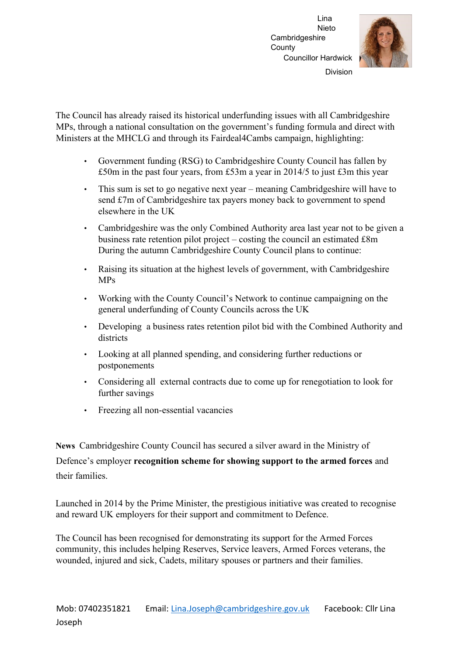

Division

The Council has already raised its historical underfunding issues with all Cambridgeshire MPs, through a national consultation on the government's funding formula and direct with Ministers at the MHCLG and through its Fairdeal4Cambs campaign, highlighting:

- Government funding (RSG) to Cambridgeshire County Council has fallen by £50m in the past four years, from £53m a year in 2014/5 to just £3m this year
- This sum is set to go negative next year meaning Cambridgeshire will have to send £7m of Cambridgeshire tax payers money back to government to spend elsewhere in the UK
- Cambridgeshire was the only Combined Authority area last year not to be given a business rate retention pilot project – costing the council an estimated £8m During the autumn Cambridgeshire County Council plans to continue:
- Raising its situation at the highest levels of government, with Cambridgeshire MPs
- Working with the County Council's Network to continue campaigning on the general underfunding of County Councils across the UK
- Developing a business rates retention pilot bid with the Combined Authority and districts
- Looking at all planned spending, and considering further reductions or postponements
- Considering all external contracts due to come up for renegotiation to look for further savings
- Freezing all non-essential vacancies

**News** Cambridgeshire County Council has secured a silver award in the Ministry of

Defence's employer **recognition scheme for showing support to the armed forces** and their families.

Launched in 2014 by the Prime Minister, the prestigious initiative was created to recognise and reward UK employers for their support and commitment to Defence.

The Council has been recognised for demonstrating its support for the Armed Forces community, this includes helping Reserves, Service leavers, Armed Forces veterans, the wounded, injured and sick, Cadets, military spouses or partners and their families.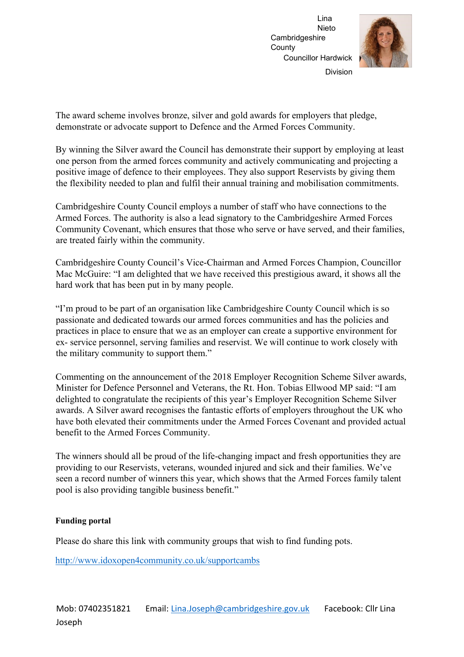

The award scheme involves bronze, silver and gold awards for employers that pledge, demonstrate or advocate support to Defence and the Armed Forces Community.

By winning the Silver award the Council has demonstrate their support by employing at least one person from the armed forces community and actively communicating and projecting a positive image of defence to their employees. They also support Reservists by giving them the flexibility needed to plan and fulfil their annual training and mobilisation commitments.

Cambridgeshire County Council employs a number of staff who have connections to the Armed Forces. The authority is also a lead signatory to the Cambridgeshire Armed Forces Community Covenant, which ensures that those who serve or have served, and their families, are treated fairly within the community.

Cambridgeshire County Council's Vice-Chairman and Armed Forces Champion, Councillor Mac McGuire: "I am delighted that we have received this prestigious award, it shows all the hard work that has been put in by many people.

"I'm proud to be part of an organisation like Cambridgeshire County Council which is so passionate and dedicated towards our armed forces communities and has the policies and practices in place to ensure that we as an employer can create a supportive environment for ex- service personnel, serving families and reservist. We will continue to work closely with the military community to support them."

Commenting on the announcement of the 2018 Employer Recognition Scheme Silver awards, Minister for Defence Personnel and Veterans, the Rt. Hon. Tobias Ellwood MP said: "I am delighted to congratulate the recipients of this year's Employer Recognition Scheme Silver awards. A Silver award recognises the fantastic efforts of employers throughout the UK who have both elevated their commitments under the Armed Forces Covenant and provided actual benefit to the Armed Forces Community.

The winners should all be proud of the life-changing impact and fresh opportunities they are providing to our Reservists, veterans, wounded injured and sick and their families. We've seen a record number of winners this year, which shows that the Armed Forces family talent pool is also providing tangible business benefit."

## **Funding portal**

Please do share this link with community groups that wish to find funding pots.

<http://www.idoxopen4community.co.uk/supportcambs>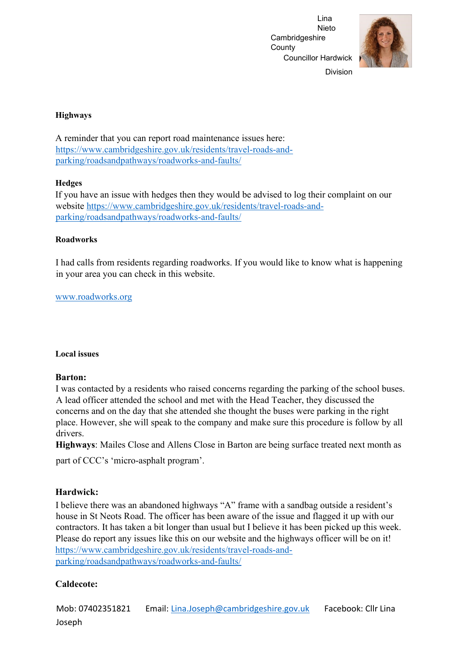

Division

#### **Highways**

A reminder that you can report road maintenance issues here: [https://www.cambridgeshire.gov.uk/residents/travel-roads-and](https://www.cambridgeshire.gov.uk/residents/travel-roads-and-parking/roads-and-pathways/roadworks-and-faults/)[parking/roadsandpathways/roadworks-and-faults/](https://www.cambridgeshire.gov.uk/residents/travel-roads-and-parking/roads-and-pathways/roadworks-and-faults/) 

#### **Hedges**

If you have an issue with hedges then they would be advised to log their complaint on our website [https://www.cambridgeshire.gov.uk/residents/travel-roads-and](https://www.cambridgeshire.gov.uk/residents/travel-roads-and-parking/roads-and-pathways/roadworks-and-faults/)[parking/roadsandpathways/roadworks-and-faults/](https://www.cambridgeshire.gov.uk/residents/travel-roads-and-parking/roads-and-pathways/roadworks-and-faults/)

## **Roadworks**

I had calls from residents regarding roadworks. If you would like to know what is happening in your area you can check in this website.

# [www.roadworks.org](http://www.roadworks.org/)

## **Local issues**

## **Barton:**

I was contacted by a residents who raised concerns regarding the parking of the school buses. A lead officer attended the school and met with the Head Teacher, they discussed the concerns and on the day that she attended she thought the buses were parking in the right place. However, she will speak to the company and make sure this procedure is follow by all drivers.

**Highways**: Mailes Close and Allens Close in Barton are being surface treated next month as part of CCC's 'micro-asphalt program'.

## **Hardwick:**

I believe there was an abandoned highways "A" frame with a sandbag outside a resident's house in St Neots Road. The officer has been aware of the issue and flagged it up with our contractors. It has taken a bit longer than usual but I believe it has been picked up this week. Please do report any issues like this on our website and the highways officer will be on it! [https://www.cambridgeshire.gov.uk/residents/travel-roads-and](https://www.cambridgeshire.gov.uk/residents/travel-roads-and-parking/roads-and-pathways/roadworks-and-faults/)[parking/roadsandpathways/roadworks-and-faults/](https://www.cambridgeshire.gov.uk/residents/travel-roads-and-parking/roads-and-pathways/roadworks-and-faults/) 

# **Caldecote:**

Mob: 07402351821 Email: Lina.Joseph@cambridgeshire.gov.uk Facebook: Cllr Lina Joseph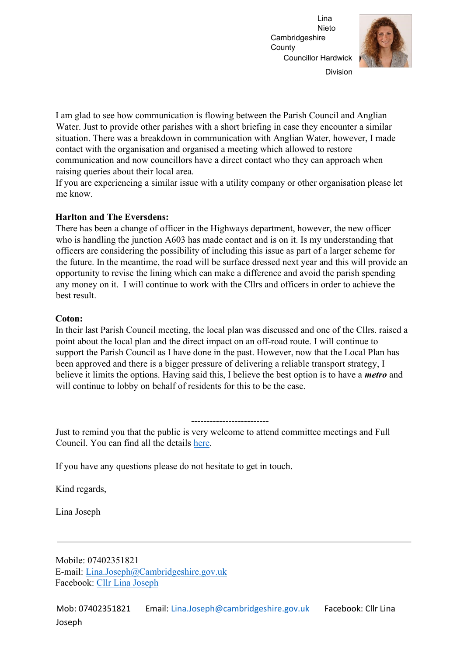

Division

I am glad to see how communication is flowing between the Parish Council and Anglian Water. Just to provide other parishes with a short briefing in case they encounter a similar situation. There was a breakdown in communication with Anglian Water, however, I made contact with the organisation and organised a meeting which allowed to restore communication and now councillors have a direct contact who they can approach when raising queries about their local area.

If you are experiencing a similar issue with a utility company or other organisation please let me know.

#### **Harlton and The Eversdens:**

There has been a change of officer in the Highways department, however, the new officer who is handling the junction A603 has made contact and is on it. Is my understanding that officers are considering the possibility of including this issue as part of a larger scheme for the future. In the meantime, the road will be surface dressed next year and this will provide an opportunity to revise the lining which can make a difference and avoid the parish spending any money on it. I will continue to work with the Cllrs and officers in order to achieve the best result.

#### **Coton:**

In their last Parish Council meeting, the local plan was discussed and one of the Cllrs. raised a point about the local plan and the direct impact on an off-road route. I will continue to support the Parish Council as I have done in the past. However, now that the Local Plan has been approved and there is a bigger pressure of delivering a reliable transport strategy, I believe it limits the options. Having said this, I believe the best option is to have a *metro* and will continue to lobby on behalf of residents for this to be the case.

# -------------------------

Just to remind you that the public is very welcome to attend committee meetings and Full Council. You can find all the details [here.](https://cmis.cambridgeshire.gov.uk/ccc_live/Meetings.aspx) 

If you have any questions please do not hesitate to get in touch.

Kind regards,

Lina Joseph

Mobile: 07402351821 E-mail: Lina.Joseph@Cambridgeshire.gov.uk Facebook: [Cllr Lina Joseph](https://www.facebook.com/CllrLinaJoseph)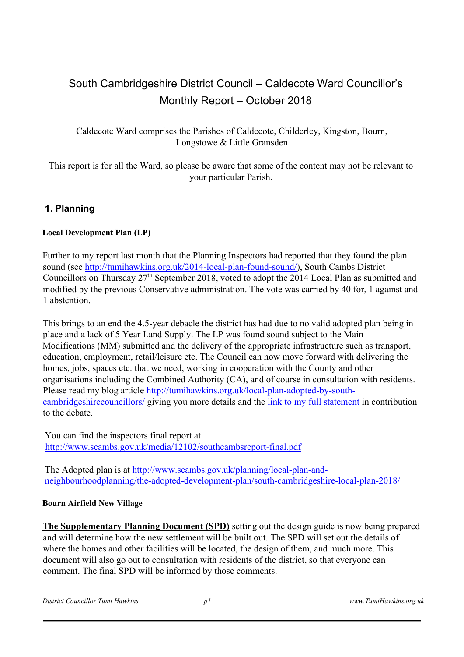# South Cambridgeshire District Council – Caldecote Ward Councillor's Monthly Report – October 2018

Caldecote Ward comprises the Parishes of Caldecote, Childerley, Kingston, Bourn, Longstowe & Little Gransden

This report is for all the Ward, so please be aware that some of the content may not be relevant to your particular Parish.

# **1. Planning**

## **Local Development Plan (LP)**

Further to my report last month that the Planning Inspectors had reported that they found the plan sound (see [http://tumihawkins.org.uk/2014-local-plan-found-sound/\),](http://tumihawkins.org.uk/2014-local-plan-found-sound/) South Cambs District Councillors on Thursday 27th September 2018, voted to adopt the 2014 Local Plan as submitted and modified by the previous Conservative administration. The vote was carried by 40 for, 1 against and 1 abstention.

This brings to an end the 4.5-year debacle the district has had due to no valid adopted plan being in place and a lack of 5 Year Land Supply. The LP was found sound subject to the Main Modifications (MM) submitted and the delivery of the appropriate infrastructure such as transport, education, employment, retail/leisure etc. The Council can now move forward with delivering the homes, jobs, spaces etc. that we need, working in cooperation with the County and other organisations including the Combined Authority (CA), and of course in consultation with residents. Please read my blog article [http://tumihawkins.org.uk/local-plan-adopted-by-south](http://tumihawkins.org.uk/local-plan-adopted-by-south-cambridgeshire-councillors/)[cambridgeshirecouncillors/](http://tumihawkins.org.uk/local-plan-adopted-by-south-cambridgeshire-councillors/) [gi](http://tumihawkins.org.uk/local-plan-adopted-by-south-cambridgeshire-councillors/)ving you more details and the [link to](http://tumihawkins.org.uk/wp-content/uploads/2018/10/180927-Full-Council-LP-Adoption-TH-statement-to-Members-v2.pdf) [my full statement](http://tumihawkins.org.uk/wp-content/uploads/2018/10/180927-Full-Council-LP-Adoption-TH-statement-to-Members-v2.pdf) [in](http://tumihawkins.org.uk/wp-content/uploads/2018/10/180927-Full-Council-LP-Adoption-TH-statement-to-Members-v2.pdf) contribution to the debate.

You can find the inspectors final report at [http://www.scambs.gov.uk/media/12102/southcambsreport-final.pdf](http://www.scambs.gov.uk/media/12102/south-cambs-report-final.pdf) 

The Adopted plan is at [http://www.scambs.gov.uk/planning/local-plan-and](http://www.scambs.gov.uk/planning/local-plan-and-neighbourhood-planning/the-adopted-development-plan/south-cambridgeshire-local-plan-2018/)[neighbourhoodplanning/the-adopted-development-plan/south-cambridgeshire-local-plan-2018/](http://www.scambs.gov.uk/planning/local-plan-and-neighbourhood-planning/the-adopted-development-plan/south-cambridgeshire-local-plan-2018/) 

#### **Bourn Airfield New Village**

**The Supplementary Planning Document (SPD)** setting out the design guide is now being prepared and will determine how the new settlement will be built out. The SPD will set out the details of where the homes and other facilities will be located, the design of them, and much more. This document will also go out to consultation with residents of the district, so that everyone can comment. The final SPD will be informed by those comments.

*District Councillor Tumi Hawkins p1 www.TumiHawkins.org.uk*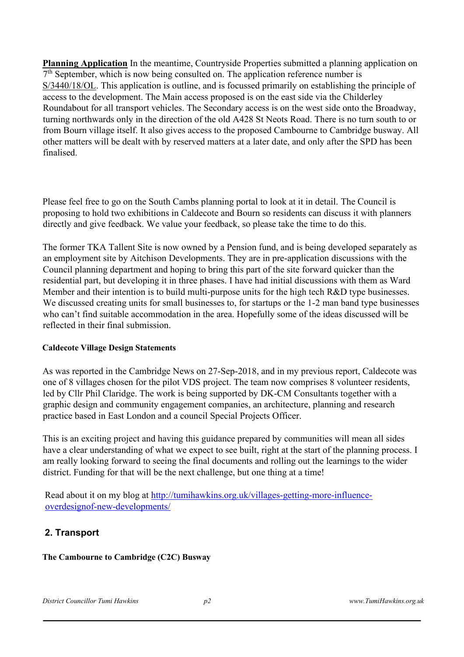**Planning Application** In the meantime, Countryside Properties submitted a planning application on 7<sup>th</sup> September, which is now being consulted on. The application reference number is S/3440/18/OL. This application is outline, and is focussed primarily on establishing the principle of access to the development. The Main access proposed is on the east side via the Childerley Roundabout for all transport vehicles. The Secondary access is on the west side onto the Broadway, turning northwards only in the direction of the old A428 St Neots Road. There is no turn south to or from Bourn village itself. It also gives access to the proposed Cambourne to Cambridge busway. All other matters will be dealt with by reserved matters at a later date, and only after the SPD has been finalised.

Please feel free to go on the South Cambs planning portal to look at it in detail. The Council is proposing to hold two exhibitions in Caldecote and Bourn so residents can discuss it with planners directly and give feedback. We value your feedback, so please take the time to do this.

The former TKA Tallent Site is now owned by a Pension fund, and is being developed separately as an employment site by Aitchison Developments. They are in pre-application discussions with the Council planning department and hoping to bring this part of the site forward quicker than the residential part, but developing it in three phases. I have had initial discussions with them as Ward Member and their intention is to build multi-purpose units for the high tech R&D type businesses. We discussed creating units for small businesses to, for startups or the 1-2 man band type businesses who can't find suitable accommodation in the area. Hopefully some of the ideas discussed will be reflected in their final submission.

#### **Caldecote Village Design Statements**

As was reported in the Cambridge News on 27-Sep-2018, and in my previous report, Caldecote was one of 8 villages chosen for the pilot VDS project. The team now comprises 8 volunteer residents, led by Cllr Phil Claridge. The work is being supported by DK-CM Consultants together with a graphic design and community engagement companies, an architecture, planning and research practice based in East London and a council Special Projects Officer.

This is an exciting project and having this guidance prepared by communities will mean all sides have a clear understanding of what we expect to see built, right at the start of the planning process. I am really looking forward to seeing the final documents and rolling out the learnings to the wider district. Funding for that will be the next challenge, but one thing at a time!

Read about it on my blog at [http://tumihawkins.org.uk/villages-getting-more-influence](http://tumihawkins.org.uk/villages-getting-more-influence-over-design-of-new-developments/)[overdesignof-new-developments/](http://tumihawkins.org.uk/villages-getting-more-influence-over-design-of-new-developments/) 

# **2. Transport**

## **The Cambourne to Cambridge (C2C) Busway**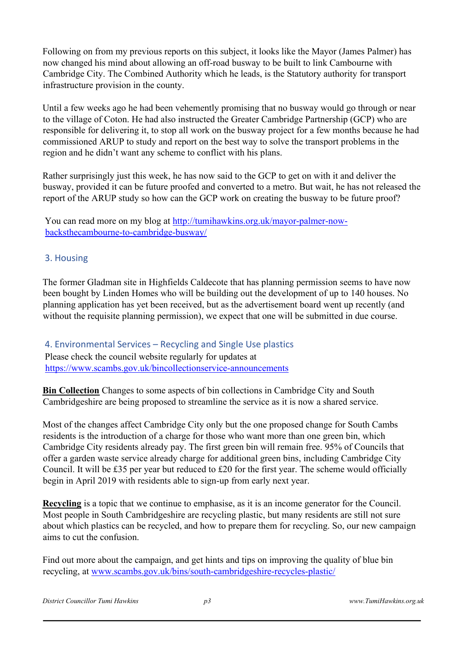Following on from my previous reports on this subject, it looks like the Mayor (James Palmer) has now changed his mind about allowing an off-road busway to be built to link Cambourne with Cambridge City. The Combined Authority which he leads, is the Statutory authority for transport infrastructure provision in the county.

Until a few weeks ago he had been vehemently promising that no busway would go through or near to the village of Coton. He had also instructed the Greater Cambridge Partnership (GCP) who are responsible for delivering it, to stop all work on the busway project for a few months because he had commissioned ARUP to study and report on the best way to solve the transport problems in the region and he didn't want any scheme to conflict with his plans.

Rather surprisingly just this week, he has now said to the GCP to get on with it and deliver the busway, provided it can be future proofed and converted to a metro. But wait, he has not released the report of the ARUP study so how can the GCP work on creating the busway to be future proof?

You can read more on my blog at [http://tumihawkins.org.uk/mayor-palmer-now](http://tumihawkins.org.uk/mayor-palmer-now-backs-the-cambourne-to-cambridge-busway/)[backsthecambourne-to-cambridge-busway/](http://tumihawkins.org.uk/mayor-palmer-now-backs-the-cambourne-to-cambridge-busway/) 

# 3. Housing

The former Gladman site in Highfields Caldecote that has planning permission seems to have now been bought by Linden Homes who will be building out the development of up to 140 houses. No planning application has yet been received, but as the advertisement board went up recently (and without the requisite planning permission), we expect that one will be submitted in due course.

4. Environmental Services – Recycling and Single Use plastics Please check the council website regularly for updates at [https://www.scambs.gov.uk/bincollectionservice-announcements](https://www.scambs.gov.uk/bin-collection-service-announcements) 

**Bin Collection** Changes to some aspects of bin collections in Cambridge City and South Cambridgeshire are being proposed to streamline the service as it is now a shared service.

Most of the changes affect Cambridge City only but the one proposed change for South Cambs residents is the introduction of a charge for those who want more than one green bin, which Cambridge City residents already pay. The first green bin will remain free. 95% of Councils that offer a garden waste service already charge for additional green bins, including Cambridge City Council. It will be £35 per year but reduced to £20 for the first year. The scheme would officially begin in April 2019 with residents able to sign-up from early next year.

**Recycling** is a topic that we continue to emphasise, as it is an income generator for the Council. Most people in South Cambridgeshire are recycling plastic, but many residents are still not sure about which plastics can be recycled, and how to prepare them for recycling. So, our new campaign aims to cut the confusion.

Find out more about the campaign, and get hints and tips on improving the quality of blue bin recycling, at [www.scambs.gov.uk/bins/south-cambridgeshire-recycles-plastic/](https://mail.scambs.gov.uk/owa/redir.aspx?C=vtv4SdYIqECuxx9vPm5ue_yGAd6PRMm3tSxyCKJ8d0y-ruKNIjTWCA..&URL=http%3a%2f%2fwww.scambs.gov.uk%2fbins%2fsouth-cambridgeshire-recycles-plastic%2f) 

*District Councillor Tumi Hawkins p3 www.TumiHawkins.org.uk*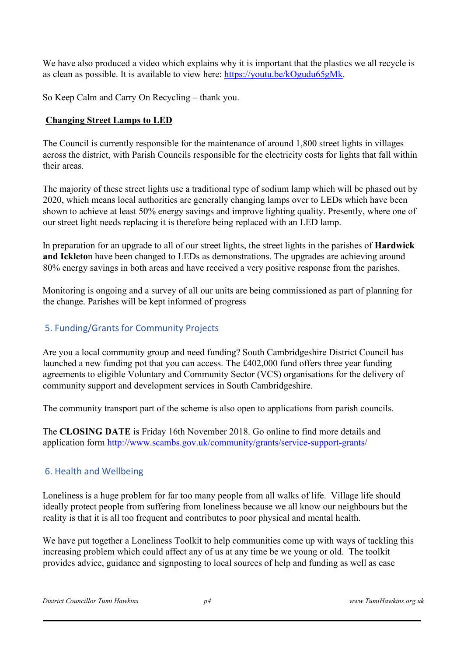We have also produced a video which explains why it is important that the plastics we all recycle is as clean as possible. It is available to view here: [https://youtu.be/kOgudu65gMk.](https://mail.scambs.gov.uk/owa/redir.aspx?C=k0WZw152VKTv23ysA9WcJmCNaq7MAfUfC_pPVAHrpL2-ruKNIjTWCA..&URL=https%3a%2f%2fyoutu.be%2fkOgudu65gMk)

So Keep Calm and Carry On Recycling – thank you.

# **Changing Street Lamps to LED**

The Council is currently responsible for the maintenance of around 1,800 street lights in villages across the district, with Parish Councils responsible for the electricity costs for lights that fall within their areas.

The majority of these street lights use a traditional type of sodium lamp which will be phased out by 2020, which means local authorities are generally changing lamps over to LEDs which have been shown to achieve at least 50% energy savings and improve lighting quality. Presently, where one of our street light needs replacing it is therefore being replaced with an LED lamp.

In preparation for an upgrade to all of our street lights, the street lights in the parishes of **Hardwick and Ickleto**n have been changed to LEDs as demonstrations. The upgrades are achieving around 80% energy savings in both areas and have received a very positive response from the parishes.

Monitoring is ongoing and a survey of all our units are being commissioned as part of planning for the change. Parishes will be kept informed of progress

# 5. Funding/Grants for Community Projects

Are you a local community group and need funding? South Cambridgeshire District Council has launched a new funding pot that you can access. The £402,000 fund offers three year funding agreements to eligible Voluntary and Community Sector (VCS) organisations for the delivery of community support and development services in South Cambridgeshire.

The community transport part of the scheme is also open to applications from parish councils.

The **CLOSING DATE** is Friday 16th November 2018. Go online to find more details and application form<http://www.scambs.gov.uk/community/grants/service-support-grants/>

# 6. Health and Wellbeing

Loneliness is a huge problem for far too many people from all walks of life. Village life should ideally protect people from suffering from loneliness because we all know our neighbours but the reality is that it is all too frequent and contributes to poor physical and mental health.

We have put together a Loneliness Toolkit to help communities come up with ways of tackling this increasing problem which could affect any of us at any time be we young or old. The toolkit provides advice, guidance and signposting to local sources of help and funding as well as case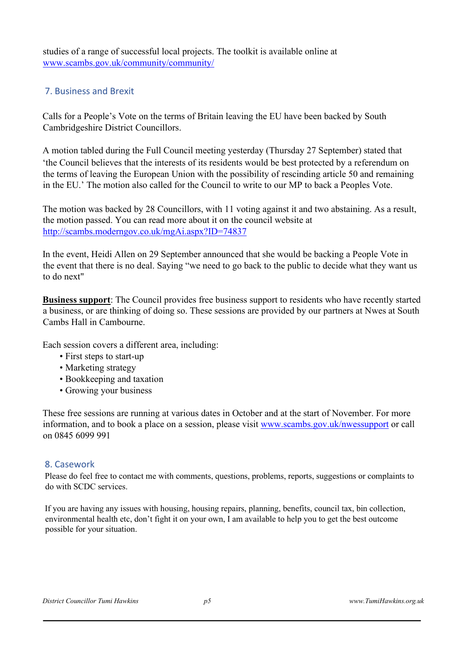studies of a range of successful local projects. The toolkit is available online at [www.scambs.gov.uk/community/community/](https://mail.scambs.gov.uk/owa/redir.aspx?C=2uJqRZ8H7lhcb4JbuNrwbaznK2WPZ-fa_RDsV9Nsc7--ruKNIjTWCA..&URL=http%3a%2f%2fwww.scambs.gov.uk%2fcommunity%2fcommunity%2f) 

# 7. Business and Brexit

Calls for a People's Vote on the terms of Britain leaving the EU have been backed by South Cambridgeshire District Councillors.

A motion tabled during the Full Council meeting yesterday (Thursday 27 September) stated that 'the Council believes that the interests of its residents would be best protected by a referendum on the terms of leaving the European Union with the possibility of rescinding article 50 and remaining in the EU.' The motion also called for the Council to write to our MP to back a Peoples Vote.

The motion was backed by 28 Councillors, with 11 voting against it and two abstaining. As a result, the motion passed. You can read more about it on the council website at <http://scambs.moderngov.co.uk/mgAi.aspx?ID=74837>

In the event, Heidi Allen on 29 September announced that she would be backing a People Vote in the event that there is no deal. Saying "we need to go back to the public to decide what they want us to do next"

**Business support**: The Council provides free business support to residents who have recently started a business, or are thinking of doing so. These sessions are provided by our partners at Nwes at South Cambs Hall in Cambourne.

Each session covers a different area, including:

- First steps to start-up
- Marketing strategy
- Bookkeeping and taxation
- Growing your business

These free sessions are running at various dates in October and at the start of November. For more information, and to book a place on a session, please visi[t](http://www.scambs.gov.uk/nwessupport) [www.scambs.gov.uk/nwessupport](http://www.scambs.gov.uk/nwessupport) [or](http://www.scambs.gov.uk/nwessupport) call on 0845 6099 991

## 8. Casework

Please do feel free to contact me with comments, questions, problems, reports, suggestions or complaints to do with SCDC services.

If you are having any issues with housing, housing repairs, planning, benefits, council tax, bin collection, environmental health etc, don't fight it on your own, I am available to help you to get the best outcome possible for your situation.